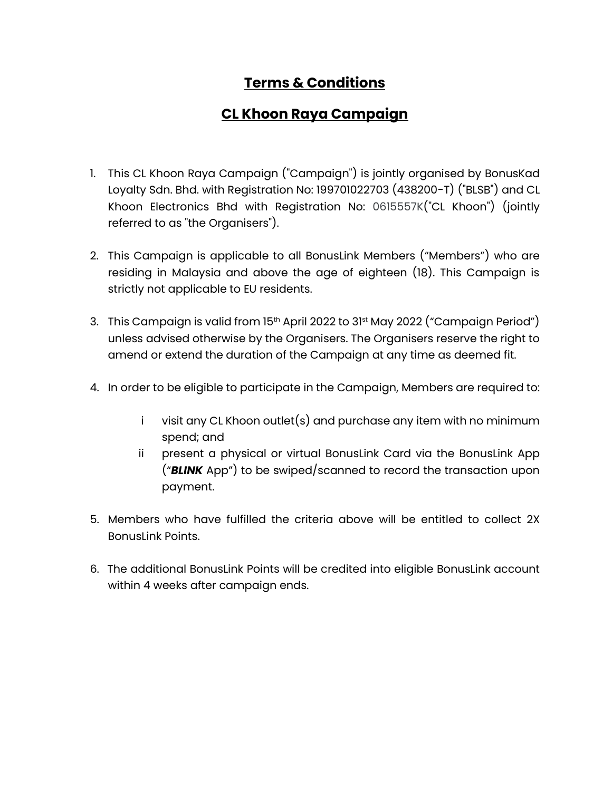## **Terms & Conditions**

## **CL Khoon Raya Campaign**

- 1. This CL Khoon Raya Campaign ("Campaign") is jointly organised by BonusKad Loyalty Sdn. Bhd. with Registration No: 199701022703 (438200-T) ("BLSB") and CL Khoon Electronics Bhd with Registration No: 0615557K("CL Khoon") (jointly referred to as "the Organisers").
- 2. This Campaign is applicable to all BonusLink Members ("Members") who are residing in Malaysia and above the age of eighteen (18). This Campaign is strictly not applicable to EU residents.
- 3. This Campaign is valid from 15<sup>th</sup> April 2022 to 31<sup>st</sup> May 2022 ("Campaign Period") unless advised otherwise by the Organisers. The Organisers reserve the right to amend or extend the duration of the Campaign at any time as deemed fit.
- 4. In order to be eligible to participate in the Campaign, Members are required to:
	- i visit any CL Khoon outlet(s) and purchase any item with no minimum spend; and
	- ii present a physical or virtual BonusLink Card via the BonusLink App ("*BLINK* App") to be swiped/scanned to record the transaction upon payment.
- 5. Members who have fulfilled the criteria above will be entitled to collect 2X BonusLink Points.
- 6. The additional BonusLink Points will be credited into eligible BonusLink account within 4 weeks after campaign ends.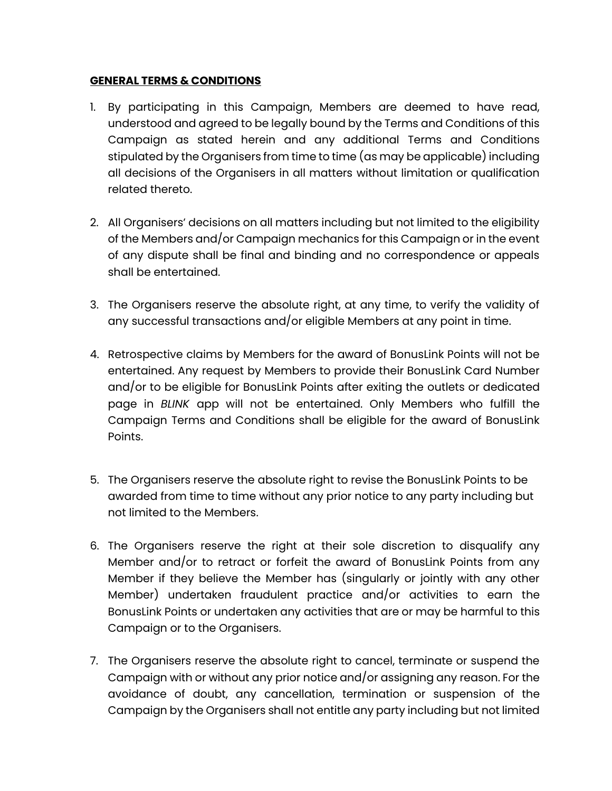## **GENERAL TERMS & CONDITIONS**

- 1. By participating in this Campaign, Members are deemed to have read, understood and agreed to be legally bound by the Terms and Conditions of this Campaign as stated herein and any additional Terms and Conditions stipulated by the Organisers from time to time (as may be applicable) including all decisions of the Organisers in all matters without limitation or qualification related thereto.
- 2. All Organisers' decisions on all matters including but not limited to the eligibility of the Members and/or Campaign mechanics for this Campaign or in the event of any dispute shall be final and binding and no correspondence or appeals shall be entertained.
- 3. The Organisers reserve the absolute right, at any time, to verify the validity of any successful transactions and/or eligible Members at any point in time.
- 4. Retrospective claims by Members for the award of BonusLink Points will not be entertained. Any request by Members to provide their BonusLink Card Number and/or to be eligible for BonusLink Points after exiting the outlets or dedicated page in *BLINK* app will not be entertained. Only Members who fulfill the Campaign Terms and Conditions shall be eligible for the award of BonusLink Points.
- 5. The Organisers reserve the absolute right to revise the BonusLink Points to be awarded from time to time without any prior notice to any party including but not limited to the Members.
- 6. The Organisers reserve the right at their sole discretion to disqualify any Member and/or to retract or forfeit the award of BonusLink Points from any Member if they believe the Member has (singularly or jointly with any other Member) undertaken fraudulent practice and/or activities to earn the BonusLink Points or undertaken any activities that are or may be harmful to this Campaign or to the Organisers.
- 7. The Organisers reserve the absolute right to cancel, terminate or suspend the Campaign with or without any prior notice and/or assigning any reason. For the avoidance of doubt, any cancellation, termination or suspension of the Campaign by the Organisers shall not entitle any party including but not limited